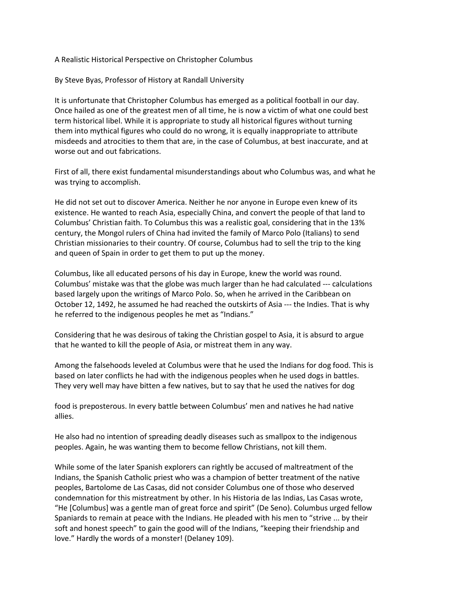A Realistic Historical Perspective on Christopher Columbus

By Steve Byas, Professor of History at Randall University

It is unfortunate that Christopher Columbus has emerged as a political football in our day. Once hailed as one of the greatest men of all time, he is now a victim of what one could best term historical libel. While it is appropriate to study all historical figures without turning them into mythical figures who could do no wrong, it is equally inappropriate to attribute misdeeds and atrocities to them that are, in the case of Columbus, at best inaccurate, and at worse out and out fabrications.

First of all, there exist fundamental misunderstandings about who Columbus was, and what he was trying to accomplish.

He did not set out to discover America. Neither he nor anyone in Europe even knew of its existence. He wanted to reach Asia, especially China, and convert the people of that land to Columbus' Christian faith. To Columbus this was a realistic goal, considering that in the 13% century, the Mongol rulers of China had invited the family of Marco Polo (Italians) to send Christian missionaries to their country. Of course, Columbus had to sell the trip to the king and queen of Spain in order to get them to put up the money.

Columbus, like all educated persons of his day in Europe, knew the world was round. Columbus' mistake was that the globe was much larger than he had calculated --- calculations based largely upon the writings of Marco Polo. So, when he arrived in the Caribbean on October 12, 1492, he assumed he had reached the outskirts of Asia --- the Indies. That is why he referred to the indigenous peoples he met as "Indians."

Considering that he was desirous of taking the Christian gospel to Asia, it is absurd to argue that he wanted to kill the people of Asia, or mistreat them in any way.

Among the falsehoods leveled at Columbus were that he used the Indians for dog food. This is based on later conflicts he had with the indigenous peoples when he used dogs in battles. They very well may have bitten a few natives, but to say that he used the natives for dog

food is preposterous. In every battle between Columbus' men and natives he had native allies.

He also had no intention of spreading deadly diseases such as smallpox to the indigenous peoples. Again, he was wanting them to become fellow Christians, not kill them.

While some of the later Spanish explorers can rightly be accused of maltreatment of the Indians, the Spanish Catholic priest who was a champion of better treatment of the native peoples, Bartolome de Las Casas, did not consider Columbus one of those who deserved condemnation for this mistreatment by other. In his Historia de las Indias, Las Casas wrote, "He [Columbus] was a gentle man of great force and spirit" (De Seno). Columbus urged fellow Spaniards to remain at peace with the Indians. He pleaded with his men to "strive ... by their soft and honest speech" to gain the good will of the Indians, "keeping their friendship and love." Hardly the words of a monster! (Delaney 109).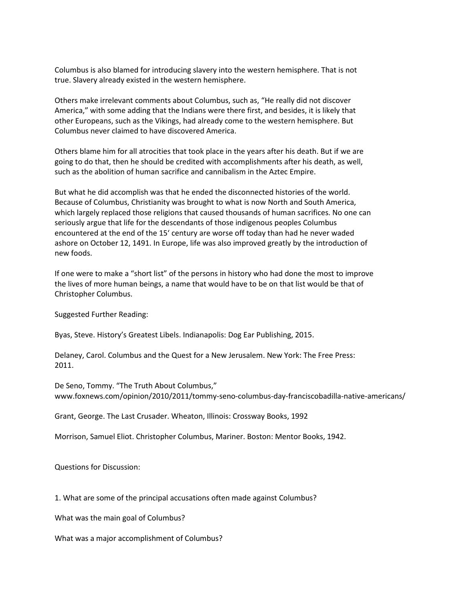Columbus is also blamed for introducing slavery into the western hemisphere. That is not true. Slavery already existed in the western hemisphere.

Others make irrelevant comments about Columbus, such as, "He really did not discover America," with some adding that the Indians were there first, and besides, it is likely that other Europeans, such as the Vikings, had already come to the western hemisphere. But Columbus never claimed to have discovered America.

Others blame him for all atrocities that took place in the years after his death. But if we are going to do that, then he should be credited with accomplishments after his death, as well, such as the abolition of human sacrifice and cannibalism in the Aztec Empire.

But what he did accomplish was that he ended the disconnected histories of the world. Because of Columbus, Christianity was brought to what is now North and South America, which largely replaced those religions that caused thousands of human sacrifices. No one can seriously argue that life for the descendants of those indigenous peoples Columbus encountered at the end of the 15' century are worse off today than had he never waded ashore on October 12, 1491. In Europe, life was also improved greatly by the introduction of new foods.

If one were to make a "short list" of the persons in history who had done the most to improve the lives of more human beings, a name that would have to be on that list would be that of Christopher Columbus.

Suggested Further Reading:

Byas, Steve. History's Greatest Libels. Indianapolis: Dog Ear Publishing, 2015.

Delaney, Carol. Columbus and the Quest for a New Jerusalem. New York: The Free Press: 2011.

De Seno, Tommy. "The Truth About Columbus," www.foxnews.com/opinion/2010/2011/tommy-seno-columbus-day-franciscobadilla-native-americans/

Grant, George. The Last Crusader. Wheaton, Illinois: Crossway Books, 1992

Morrison, Samuel Eliot. Christopher Columbus, Mariner. Boston: Mentor Books, 1942.

Questions for Discussion:

1. What are some of the principal accusations often made against Columbus?

What was the main goal of Columbus?

What was a major accomplishment of Columbus?